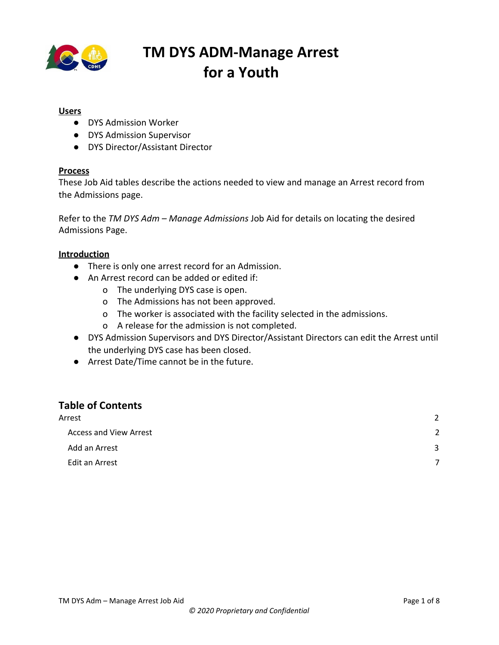

#### **Users**

- DYS Admission Worker
- DYS Admission Supervisor
- DYS Director/Assistant Director

#### **Process**

These Job Aid tables describe the actions needed to view and manage an Arrest record from the Admissions page.

Refer to the *TM DYS Adm – Manage Admissions* Job Aid for details on locating the desired Admissions Page.

#### **Introduction**

- There is only one arrest record for an Admission.
- An Arrest record can be added or edited if:
	- o The underlying DYS case is open.
	- o The Admissions has not been approved.
	- o The worker is associated with the facility selected in the admissions.
	- o A release for the admission is not completed.
- DYS Admission Supervisors and DYS Director/Assistant Directors can edit the Arrest until the underlying DYS case has been closed.
- Arrest Date/Time cannot be in the future.

#### **Table of Contents**

| Arrest                        | $\overline{2}$ |
|-------------------------------|----------------|
| <b>Access and View Arrest</b> | 2              |
| Add an Arrest                 | 3              |
| Edit an Arrest                | ⇁              |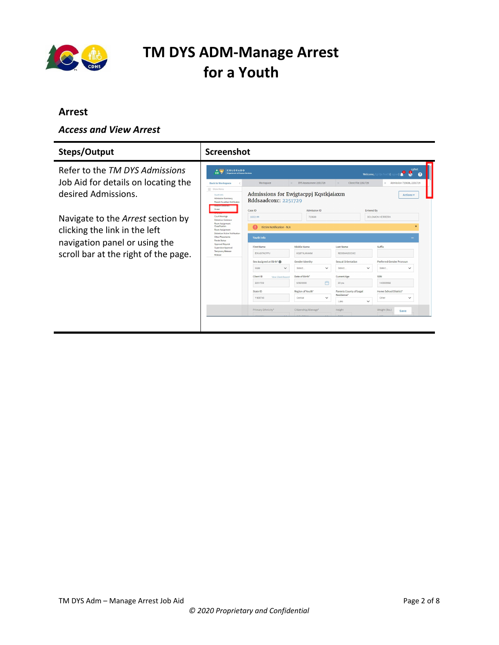

#### <span id="page-1-0"></span>**Arrest**

#### <span id="page-1-1"></span>*Access and View Arrest*

| Steps/Output                                                          | Screenshot                                                                                                                                  |                                                                                   |                                                               |                                                 |                                                                            |
|-----------------------------------------------------------------------|---------------------------------------------------------------------------------------------------------------------------------------------|-----------------------------------------------------------------------------------|---------------------------------------------------------------|-------------------------------------------------|----------------------------------------------------------------------------|
| Refer to the TM DYS Admissions                                        | A SOME<br>COLORADO<br>$\cos$<br><b>Department of Human Services</b>                                                                         |                                                                                   |                                                               |                                                 | cyfmt<br>-8<br>$\mathbf{e}$<br><b>Welcome, Cgi Qa Test5 (I</b>             |
| Job Aid for details on locating the<br>desired Admissions.            | <b>Back to Workspace</b><br>= Show Menu<br>Youth Info<br>Admission Summary<br>Parent/Guardian Notificaton<br>Arrest                         | Workspace<br>Admissions for Ewigtacppi Kqstkjaiaxm<br>Rddsaadcoxc: 2251729        | DYS Assessment 2251729<br>$\times$                            | Client File 2251729<br>$\propto$                | × Admission 723638, 2251729<br><b>Actions v</b>                            |
| Navigate to the Arrest section by<br>clicking the link in the left    | <b>Court Hearings</b><br><b>Detention Sentence</b><br>Room Assignment<br>Classification<br>Room Assignment<br>Detention Victim Notification | Case ID<br>1832144<br>Victim Notification - N/A                                   | Admission ID<br>723638                                        |                                                 | <b>Entered By</b><br><b>SOLOMON HERRERA</b>                                |
| navigation panel or using the<br>scroll bar at the right of the page. | Other Placements<br>Parole Status<br>Approval Request<br>Supervisor Approval<br>Temporary Release<br>Release                                | <b>Youth Info</b><br><b>First Name</b><br><b>EWJGTACPPJ</b>                       | Middle Name<br>KOSTK MIAXM                                    | <b>Last Name</b><br><b>RDDSAADCOXC</b>          | Suffix                                                                     |
|                                                                       |                                                                                                                                             | Sex Assigned at Birth'<br>Male<br>$\checkmark$<br>Client ID<br>View Client Record | Gender Identity<br>$\checkmark$<br>Select.<br>Date of Birth'  | Sexual Orientation<br>Select.<br>Current Age    | Preferred Gender Pronoun<br>$\checkmark$<br>Select.<br>$\checkmark$<br>SSN |
|                                                                       |                                                                                                                                             | 2251729<br>State ID<br>Y408748                                                    | 門<br>5/30/2000<br>Region of Youth*<br>$\checkmark$<br>Central | 20 yrs<br>Parents County of Legal<br>Residence* | 140003592<br>Home School District*<br>Other<br>$\check{~}$                 |
|                                                                       |                                                                                                                                             | Primary Ethnicity*                                                                | Citizenship/Alienage*                                         | Lake<br>Height                                  | $\check{~}$<br>Weight (lbs.)<br>Save                                       |
|                                                                       |                                                                                                                                             |                                                                                   |                                                               |                                                 |                                                                            |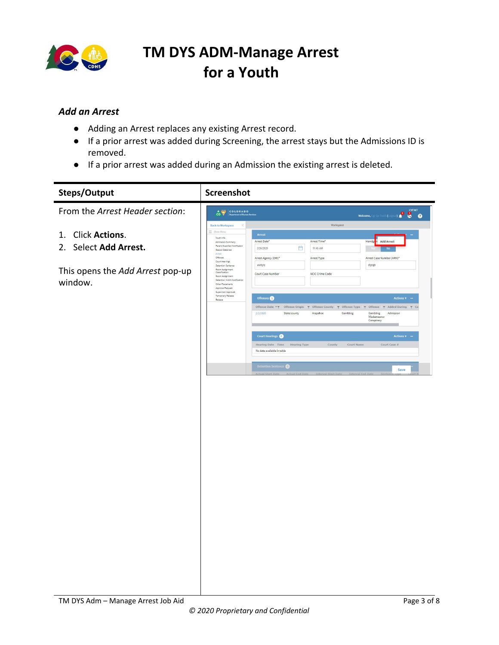

#### <span id="page-2-0"></span>*Add an Arrest*

- Adding an Arrest replaces any existing Arrest record.
- If a prior arrest was added during Screening, the arrest stays but the Admissions ID is removed.
- If a prior arrest was added during an Admission the existing arrest is deleted.

| Steps/Output                                | Screenshot                                                                                                                                                                                                                                                          |                                                                                                                                                                                                                          |
|---------------------------------------------|---------------------------------------------------------------------------------------------------------------------------------------------------------------------------------------------------------------------------------------------------------------------|--------------------------------------------------------------------------------------------------------------------------------------------------------------------------------------------------------------------------|
| From the Arrest Header section:             | <b>A</b> Spatian COLORADO                                                                                                                                                                                                                                           | Welcome, Call Qa Test5 (Logout) <b>All COVEMT</b>                                                                                                                                                                        |
|                                             | <b>Back to Workspace</b><br>$\prec$                                                                                                                                                                                                                                 | Workspace                                                                                                                                                                                                                |
| 1. Click Actions.<br>2. Select Add Arrest.  | $\equiv$ Show Menu<br>Arrest<br>Youth Info<br>Arrest Date*<br>Admission Summary<br>Parent/Guardian Notificaton<br>2/26/2020<br>Reason Detained<br>Arrest<br>Offenses<br>Arrest Agency (ORI)*<br>Court Hearings                                                      | Arrest Time*<br>Handgu<br><b>Add Arrest</b><br>曲<br>11:45 AM<br><b>No</b><br>Arrest Type<br>Arrest Case Number (ARN)*                                                                                                    |
| This opens the Add Arrest pop-up<br>window. | asdfghj<br>Detention Sentence<br>Room Assignment<br>Classification<br>Court Case Number<br>Room Assignment<br>Detention Victim Notification<br>Other Placements<br>Approval Request<br>Supervisor Approval<br>Temporary Release<br>Offenses <sup>O</sup><br>Release | dfghjjh<br>NCIC Crime Code<br>Actions <b>v</b> –                                                                                                                                                                         |
|                                             | 2/2/2020<br>State/county                                                                                                                                                                                                                                            | Offense Date $\tau \gamma$ Offense Origin $\gamma$ Offense County $\gamma$ Offense Type $\gamma$ Offense $\gamma$ Added During $\gamma$ Co<br>Gambling<br>Arapahoe<br>Gambling<br>Admission<br>Misdemeanor<br>Conspiracy |
|                                             | Court Hearings<br>Hearing Date Time<br>No data available in table                                                                                                                                                                                                   | Actions $\sqrt{ }$ –<br>County<br>Court Name<br>Court Case $\pi$<br><b>Hearing Type</b>                                                                                                                                  |
|                                             | Detention Sentence                                                                                                                                                                                                                                                  | Save                                                                                                                                                                                                                     |
|                                             |                                                                                                                                                                                                                                                                     |                                                                                                                                                                                                                          |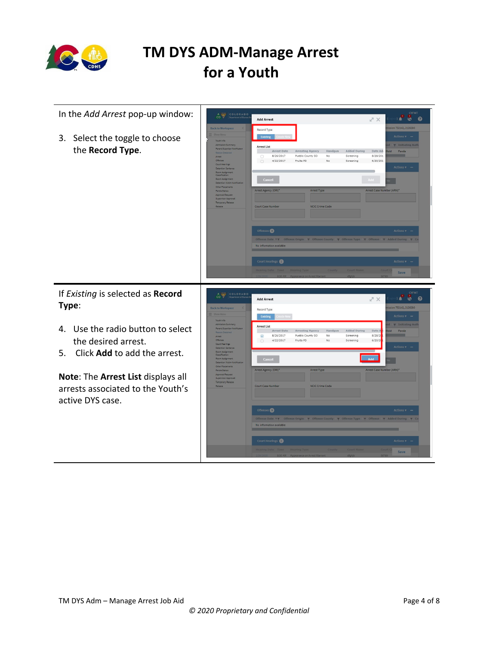

| In the Add Arrest pop-up window:                                                                  | COLORADO<br>$\frac{4}{100}$                                                                                                                                                                                                                                                                                                                                                            | <b>B</b> <sup>CYFMT</sup><br><b>V.C.</b><br>スペ<br><b>Add Arrest</b>                                                                                                                                                                                                                                                                                                                                                                                                                                                             |
|---------------------------------------------------------------------------------------------------|----------------------------------------------------------------------------------------------------------------------------------------------------------------------------------------------------------------------------------------------------------------------------------------------------------------------------------------------------------------------------------------|---------------------------------------------------------------------------------------------------------------------------------------------------------------------------------------------------------------------------------------------------------------------------------------------------------------------------------------------------------------------------------------------------------------------------------------------------------------------------------------------------------------------------------|
| 3. Select the toggle to choose<br>the Record Type.                                                | <b>Back to Workspace</b><br>Youth Info<br>Admission Summary<br>Parent/Guardian Notifica<br><b>Reason Detainer</b><br>Arrest<br>Offenses<br>Court Hearings<br>Detention Sentence<br>Room Assignment<br>Classification<br>Room Assignment<br>Detention Victim Noti<br>Other Placements<br>Parole Status<br>Approval Request<br>Supervisor Approva<br>Temporary Release<br><b>Release</b> | sion 752142, 2126280<br>Record Type<br>Existing<br>Actions $v -$<br>d <b>y</b> Initiating Auth<br>Arrest List<br>Arrest Date<br><b>Arresting Agency</b><br>Handgun<br><b>Added During</b><br>Date Ad<br>blol<br>Parole<br>8/26/2017<br>Pueblo County SO<br>No.<br>Screening<br>8/28/201<br>$\bigcirc$<br>4/22/2017<br>Fruita PD<br>No<br>Screening<br>6/20/201<br>$\circ$<br><b>Actions</b><br>Cancel<br>Arrest Type<br>Arrest Agency (ORI)*<br>Arrest Case Number (ARN)*<br><b>Court Case Number</b><br><b>NCIC Crime Code</b> |
|                                                                                                   |                                                                                                                                                                                                                                                                                                                                                                                        | Offenses <sup>(0)</sup><br>Actions v<br>Offense Date * $\gamma$ Offense Origin $\gamma$ Offense County $\gamma$ Offense Type $\gamma$ Offense $\gamma$ Added During $\gamma$ Co<br>No information available<br>Court Hearings<br><b>Actions</b> v<br>learing Date<br>Save                                                                                                                                                                                                                                                       |
|                                                                                                   |                                                                                                                                                                                                                                                                                                                                                                                        |                                                                                                                                                                                                                                                                                                                                                                                                                                                                                                                                 |
| If Existing is selected as Record<br>Type:                                                        | COLORADO<br>$\frac{1}{100}$<br><b>Back to Workspace</b>                                                                                                                                                                                                                                                                                                                                | CYFMT<br>LO<br><b>PO</b><br>$\bullet$<br>スペ<br><b>Add Arrest</b><br>n 752142, 2126280<br>Record Type<br><b>Actions v</b>                                                                                                                                                                                                                                                                                                                                                                                                        |
| Use the radio button to select<br>4.<br>the desired arrest.<br>Click Add to add the arrest.<br>5. | <b>Youth Info</b><br>Admission Summary<br>Parent/Guardian Notificato<br><b>Reason Detained</b><br>Arrest<br>Offenses<br>Court Hearings<br>Detention Sentence<br>Room Assignment<br>Classification<br>Room Assignment<br>Datanting Victim N<br>Other Placements                                                                                                                         | Existing<br><b>Y</b> Initiating Aut<br>Arrest List<br><b>Added During</b><br>Date A<br>blok<br><b>Arrest Date</b><br>Handgun<br><b>Arresting Agency</b><br>Parole<br>8/28/2<br>8/26/2017<br>Pueblo County SO<br>No<br>Screening<br>$\odot$<br>6/20/20<br>4/22/2017<br>Fruita PD<br>No<br>Screening<br>Actions +<br>Cancel<br><b>Add</b>                                                                                                                                                                                         |
| Note: The Arrest List displays all<br>arrests associated to the Youth's<br>active DYS case.       | Parole Status<br>Approval Repuest<br>Supervisor Approval<br>Temporary Release<br><b>Release</b>                                                                                                                                                                                                                                                                                        | Arrest Agency (ORI)*<br>Arrest Type<br>Arrest Case Number (ARN)*<br><b>NCIC Crime Code</b><br><b>Court Case Number</b><br>Offenses <sup>O</sup><br>$Actions = -$<br>Offense Date * * Offense Origin * T Offense County * Offense Type * T Offense * * Added During * * Co<br>No information available                                                                                                                                                                                                                           |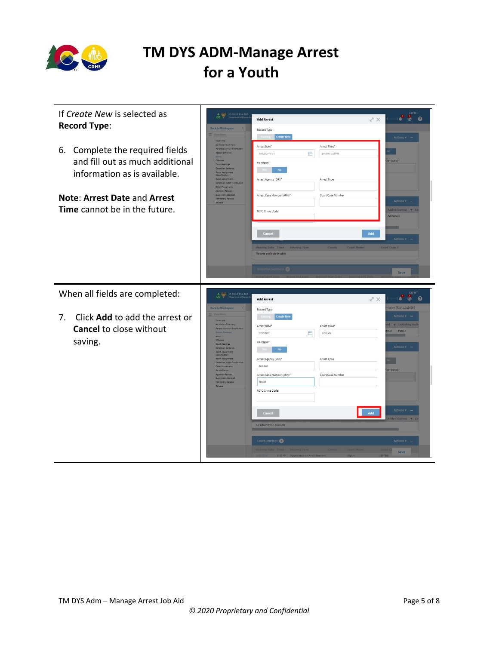

| If Create New is selected as<br><b>Record Type:</b><br>6. Complete the required fields<br>and fill out as much additional<br>information as is available.<br><b>Note: Arrest Date and Arrest</b><br>Time cannot be in the future. | CO V<br>COLORADO<br><b>Back to Workspace</b><br><b>Youth Info</b><br>Admission Summary<br>Parent/Guardian Notificaton<br>Reason Detained<br>Offenses<br>Court Hearings<br><b>Detention Sentence</b><br>Room Assignment<br>Classification<br>Room Assignment<br>Detention Victim Notifica<br>Other Placements<br>Approval Request<br>Supervisor Approval<br>Temporary Release<br>Release.                                 | $X \n\mathbb{Z}$<br><b>Add Arrest</b><br>Record Type<br>Create New<br>Arrest Time*<br>Arrest Date*<br>凸<br>MM/DD/YYYY<br>HH:MM AM/PM<br>Handgun*<br>No<br>Arrest Agency (ORI)*<br>Arrest Type<br>Arrest Case Number (ARN)*<br>Court Case Number<br>NCIC Crime Code<br>Cancel<br>Add<br><b>Hearing Date</b> Time<br><b>Hearing Type</b><br><b>County</b> Court Name<br>No data available in table<br>Detention Sentence | <b>CYFMT</b><br><b>P &amp; O</b><br>Actions v –<br>ber (ARN)*<br>Actions v<br>Added During T Co<br>Admission<br><b>Actions v</b><br>Court Case #                                                          |
|-----------------------------------------------------------------------------------------------------------------------------------------------------------------------------------------------------------------------------------|--------------------------------------------------------------------------------------------------------------------------------------------------------------------------------------------------------------------------------------------------------------------------------------------------------------------------------------------------------------------------------------------------------------------------|------------------------------------------------------------------------------------------------------------------------------------------------------------------------------------------------------------------------------------------------------------------------------------------------------------------------------------------------------------------------------------------------------------------------|-----------------------------------------------------------------------------------------------------------------------------------------------------------------------------------------------------------|
|                                                                                                                                                                                                                                   |                                                                                                                                                                                                                                                                                                                                                                                                                          |                                                                                                                                                                                                                                                                                                                                                                                                                        | Save                                                                                                                                                                                                      |
|                                                                                                                                                                                                                                   |                                                                                                                                                                                                                                                                                                                                                                                                                          |                                                                                                                                                                                                                                                                                                                                                                                                                        |                                                                                                                                                                                                           |
| When all fields are completed:<br>Click Add to add the arrest or<br>7.<br><b>Cancel to close without</b><br>saving.                                                                                                               | COLORADO<br>$\frac{1}{100}$<br><b>Back to Workspace</b><br><b>Youth Info</b><br>Admission Summary<br>Parent/Guardian Notificaton<br>Reason Detained<br>Arrest<br>Offenses<br>Court Hearings<br>Detention Sentence<br>Room Assignment<br>Classification<br>Room Assignment<br>Detention Victim Notificati<br>Other Placements<br>Parole Status<br>Approval Request<br>Supervisor Approva<br>Temporary Release<br>Release. | スメ<br><b>Add Arrest</b><br>Record Type<br>Create New<br>Existing<br>Arrest Time*<br>Arrest Date*<br>凸<br>2/26/2020<br>9:30 AM<br>Handgun*<br>No<br>Arrest Agency (ORI)'<br>Arrest Type<br>test test<br>Arrest Case Number (ARN)*<br>Court Case Number<br>testttt<br>NCIC Crime Code<br>Add<br>Cancel<br>No information available<br>Court Hearings                                                                     | CYFMT<br><b>V.</b><br><b>I</b><br>- 0<br>n 752142, 2126280<br>Actions v<br>d <b>y</b> Initiating Auth<br>lold Parole<br><b>Actions</b><br>ber (ARN)*<br><b>Actions</b><br>dded During T<br><b>Actions</b> |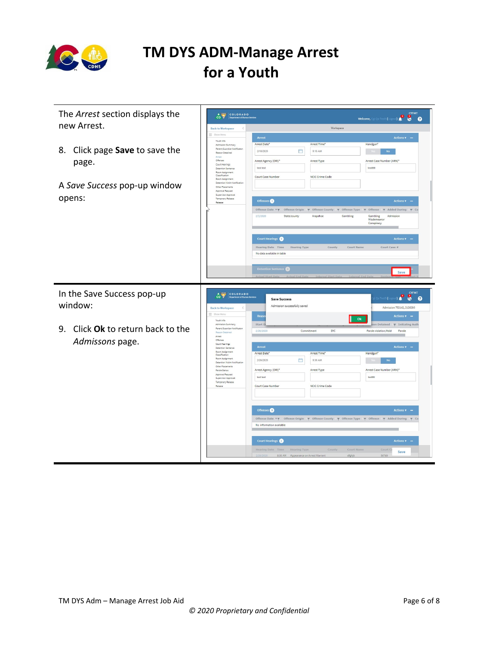

| The Arrest section displays the      | CO COLORADO                                                          |                                                                                                                                                 | <b>CYFMT</b><br>Welcome, Cgi Qa Test5 (Logout) <b>0 0 0</b>                |
|--------------------------------------|----------------------------------------------------------------------|-------------------------------------------------------------------------------------------------------------------------------------------------|----------------------------------------------------------------------------|
| new Arrest.                          | <b>Back to Workspace</b>                                             | Workspace                                                                                                                                       |                                                                            |
|                                      | $\equiv$ Show Men                                                    | Arrest                                                                                                                                          | Actions $\mathbf{v}$ –                                                     |
|                                      | Youth Info<br>Admission Summary                                      | Arrest Date*<br>Arrest Time'<br>Handgun*                                                                                                        |                                                                            |
| 8. Click page Save to save the       | Parent/Guardian Notificaton<br>Reason Detained                       | 門<br>2/18/2020<br>9:15 AM                                                                                                                       | <b>No</b>                                                                  |
| page.                                | Arrest<br>Offenses                                                   | Arrest Agency (ORI)*<br>Arrest Type                                                                                                             | Arrest Case Number (ARN)*                                                  |
|                                      | Court Hearings<br><b>Detention Sentence</b>                          | test test<br>testtitt                                                                                                                           |                                                                            |
|                                      | Room Assignment<br>Classification<br>Room Assignment                 | NCIC Crime Code<br>Court Case Number                                                                                                            |                                                                            |
| A Save Success pop-up window         | Detention Victim Notification<br>Other Placements                    |                                                                                                                                                 |                                                                            |
|                                      | Approval Request<br>Supervisor Approval                              |                                                                                                                                                 |                                                                            |
| opens:                               | Temporary Release<br>Release                                         | Offenses                                                                                                                                        | <b>Actions v</b>                                                           |
|                                      |                                                                      | Offense Date $\tau$ $\tau$ Offense Origin $\tau$ Offense County $\tau$ Offense Type $\tau$ Offense $\tau$ Added During $\tau$ Co                |                                                                            |
|                                      |                                                                      | 2/2/2020<br>State/county<br>Gambling<br>Gambling<br>Arapahoe<br>Misdemeanor<br>Conspiracy                                                       | Admission                                                                  |
|                                      |                                                                      |                                                                                                                                                 |                                                                            |
|                                      |                                                                      | <b>Court Hearings</b>                                                                                                                           | <b>Actions v</b>                                                           |
|                                      |                                                                      | Hearing Date Time<br><b>Hearing Type</b><br>County<br><b>Court Name</b>                                                                         | Court Case #                                                               |
|                                      |                                                                      | No data available in table                                                                                                                      |                                                                            |
|                                      |                                                                      |                                                                                                                                                 |                                                                            |
|                                      |                                                                      | Detention Sentence                                                                                                                              | Save                                                                       |
|                                      |                                                                      |                                                                                                                                                 |                                                                            |
| In the Save Success pop-up           | COLORADO<br>$\frac{4}{100}$                                          | Save Success                                                                                                                                    | <b>CYFMT</b>                                                               |
| window:                              | <b>Back to Workspace</b><br>Show Menu                                | Admission successfully saved<br>Reas                                                                                                            | $\mathbf{e}$<br>$\bullet$<br>േ<br>Admission 752142, 2126280<br>Actions v – |
|                                      | Youth Info<br>Admission Summary                                      | Ok<br>Start E                                                                                                                                   | on Detained $\forall$ Initiating Auth                                      |
| Click Ok to return back to the<br>9. | Parent/Guardian Notificaton<br>Reason Detained                       | 2/20/2020<br>Commitment<br>DYC.                                                                                                                 | Parole violation/Hold<br>Parole                                            |
|                                      | Arrest<br>Offenses                                                   |                                                                                                                                                 |                                                                            |
| Admissons page.                      | Court Hearings<br>Detention Sentence                                 | <b>Arrest</b>                                                                                                                                   | <b>Actions v</b>                                                           |
|                                      | Room Assignment<br>Classification                                    | Arrest Date<br><b>Handgun</b><br>Arrest Time <sup>*</sup>                                                                                       |                                                                            |
|                                      | Room Assignment<br>Detention Victim Notification<br>Other Placements | 曲<br>2/26/2020<br>9:30 AM                                                                                                                       | <b>No</b>                                                                  |
|                                      | Parola Status                                                        | Arrest Agency (ORI)*<br>Arrest Type                                                                                                             | Arrest Case Number (ARN)*                                                  |
|                                      | Approval Request<br>Supervisor Approval<br>Temporary Release         | test test<br>testitti                                                                                                                           |                                                                            |
|                                      | Release                                                              | Court Case Number<br>NCIC Crime Code                                                                                                            |                                                                            |
|                                      |                                                                      |                                                                                                                                                 |                                                                            |
|                                      |                                                                      |                                                                                                                                                 |                                                                            |
|                                      |                                                                      | Offenses <sup>0</sup>                                                                                                                           | Actions v –                                                                |
|                                      |                                                                      | Offense Date <b>* T</b><br>Offense Origin $\forall$ Offense County $\forall$ Offense Type $\forall$ Offense $\forall$ Added During $\forall$ Co |                                                                            |
|                                      |                                                                      | No information available                                                                                                                        |                                                                            |
|                                      |                                                                      |                                                                                                                                                 |                                                                            |
|                                      |                                                                      | <b>Court Hearings</b>                                                                                                                           | <b>Actions v</b>                                                           |
|                                      |                                                                      | Court Name<br>Hearing Date Time Hearing Type<br>County<br>8:30 AM Appearance on Arrest Warrant<br>dfghik                                        | Court C<br>Save<br>56789                                                   |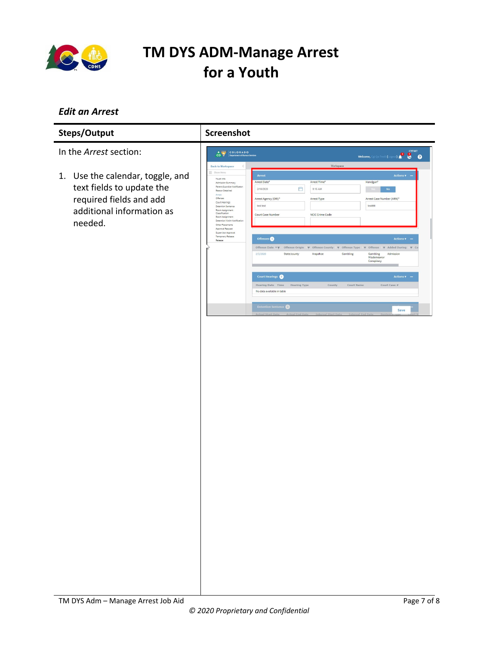

#### <span id="page-6-0"></span>*Edit an Arrest*

| Steps/Output                                                                                                                     | <b>Screenshot</b>                                                                                                                                                                                                                                                                                                                                                                       |                                                                                                                                                                                                                                                                                                                                                                            |                                                                                                                                                                                                                                                                     |                                                                                                                                                                                                                                                                                                        |
|----------------------------------------------------------------------------------------------------------------------------------|-----------------------------------------------------------------------------------------------------------------------------------------------------------------------------------------------------------------------------------------------------------------------------------------------------------------------------------------------------------------------------------------|----------------------------------------------------------------------------------------------------------------------------------------------------------------------------------------------------------------------------------------------------------------------------------------------------------------------------------------------------------------------------|---------------------------------------------------------------------------------------------------------------------------------------------------------------------------------------------------------------------------------------------------------------------|--------------------------------------------------------------------------------------------------------------------------------------------------------------------------------------------------------------------------------------------------------------------------------------------------------|
| In the <i>Arrest</i> section:                                                                                                    | <b>COLORADO</b><br>Department of Human Services                                                                                                                                                                                                                                                                                                                                         |                                                                                                                                                                                                                                                                                                                                                                            |                                                                                                                                                                                                                                                                     | <b>CYFMT</b><br>8<br>$\bullet$<br>Welcome, Cgi Qa Test5 (Log                                                                                                                                                                                                                                           |
| 1. Use the calendar, toggle, and<br>text fields to update the<br>required fields and add<br>additional information as<br>needed. | <b>Back to Workspace</b><br>Show Menu<br>Youth Info<br>Admission Summary<br>Parent/Guardian Notificaton<br>Reason Detained<br>Arrest<br>Offenses<br>Court Hearings<br><b>Detention Sentence</b><br>Room Assignment<br>Classification<br>Room Assignment<br>Detention Victim Notification<br>Other Placements<br>Approval Request<br>Supervisor Approval<br>Temporary Release<br>Release | Arrest<br>Arrest Date*<br>眥<br>2/18/2020<br>Arrest Agency (ORI)*<br>test test<br>Court Case Number<br>Offenses <sup>6</sup><br>Offense Origin<br>Offense Date $\tau$<br>2/2/2020<br>State/county<br><b>Court Hearings</b> O<br><b>Hearing Date Time</b><br><b>Hearing Type</b><br>No data available in table<br>Detention Sentence<br>Actual Start Date<br>Actual End Date | Workspace<br>Arrest Time*<br>9:15 AM<br>Arrest Type<br><b>NCIC Crime Code</b><br>Offense County $\overline{\tau}$ Offense Type $\overline{\tau}$<br>$\mathbf{v}$<br>Arapahoe<br>Gambling<br><b>Court Name</b><br>County<br>Interval Start Date<br>Interval End Date | <b>Actions v</b><br>Handgun*<br>No:<br>Arrest Case Number (ARN)*<br>testttttt<br>Actions $\sqrt{ }$ –<br>Offense<br>Added During $\blacktriangledown$ Co<br>$\overline{\mathbf{v}}$<br>Gambling<br>Admission<br>Misdemeanor<br>Conspiracy<br>Actions $\mathbf{v}$ –<br>Court Case #<br>Save<br>Santano |